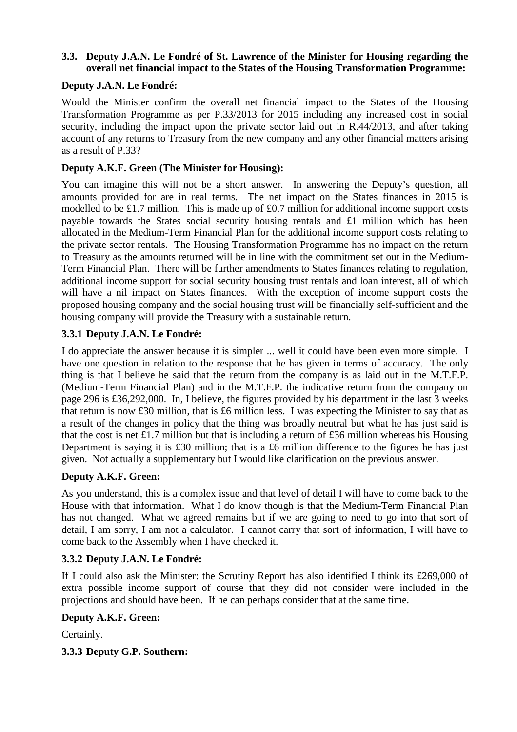# **3.3. Deputy J.A.N. Le Fondré of St. Lawrence of the Minister for Housing regarding the overall net financial impact to the States of the Housing Transformation Programme:**

# **Deputy J.A.N. Le Fondré:**

Would the Minister confirm the overall net financial impact to the States of the Housing Transformation Programme as per P.33/2013 for 2015 including any increased cost in social security, including the impact upon the private sector laid out in R.44/2013, and after taking account of any returns to Treasury from the new company and any other financial matters arising as a result of P.33?

### **Deputy A.K.F. Green (The Minister for Housing):**

You can imagine this will not be a short answer. In answering the Deputy's question, all amounts provided for are in real terms. The net impact on the States finances in 2015 is modelled to be £1.7 million. This is made up of £0.7 million for additional income support costs payable towards the States social security housing rentals and £1 million which has been allocated in the Medium-Term Financial Plan for the additional income support costs relating to the private sector rentals. The Housing Transformation Programme has no impact on the return to Treasury as the amounts returned will be in line with the commitment set out in the Medium-Term Financial Plan. There will be further amendments to States finances relating to regulation, additional income support for social security housing trust rentals and loan interest, all of which will have a nil impact on States finances. With the exception of income support costs the proposed housing company and the social housing trust will be financially self-sufficient and the housing company will provide the Treasury with a sustainable return.

#### **3.3.1 Deputy J.A.N. Le Fondré:**

I do appreciate the answer because it is simpler ... well it could have been even more simple. I have one question in relation to the response that he has given in terms of accuracy. The only thing is that I believe he said that the return from the company is as laid out in the M.T.F.P. (Medium-Term Financial Plan) and in the M.T.F.P. the indicative return from the company on page 296 is £36,292,000. In, I believe, the figures provided by his department in the last 3 weeks that return is now £30 million, that is £6 million less. I was expecting the Minister to say that as a result of the changes in policy that the thing was broadly neutral but what he has just said is that the cost is net £1.7 million but that is including a return of £36 million whereas his Housing Department is saying it is £30 million; that is a £6 million difference to the figures he has just given. Not actually a supplementary but I would like clarification on the previous answer.

# **Deputy A.K.F. Green:**

As you understand, this is a complex issue and that level of detail I will have to come back to the House with that information. What I do know though is that the Medium-Term Financial Plan has not changed. What we agreed remains but if we are going to need to go into that sort of detail, I am sorry, I am not a calculator. I cannot carry that sort of information, I will have to come back to the Assembly when I have checked it.

#### **3.3.2 Deputy J.A.N. Le Fondré:**

If I could also ask the Minister: the Scrutiny Report has also identified I think its £269,000 of extra possible income support of course that they did not consider were included in the projections and should have been. If he can perhaps consider that at the same time.

#### **Deputy A.K.F. Green:**

Certainly.

**3.3.3 Deputy G.P. Southern:**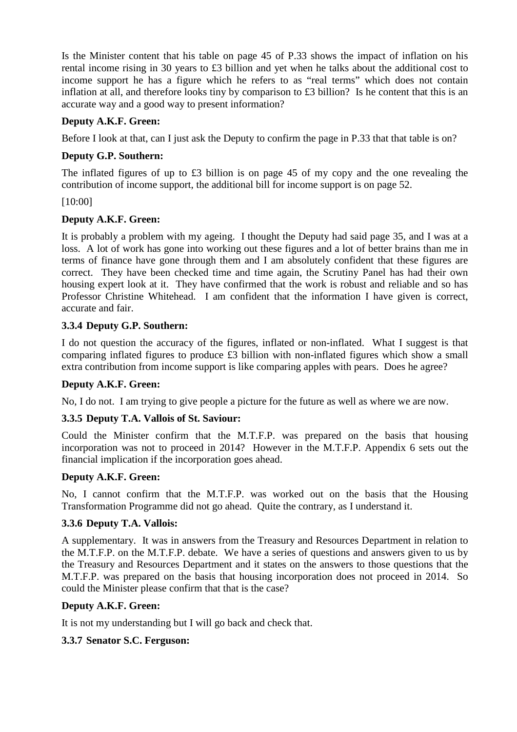Is the Minister content that his table on page 45 of P.33 shows the impact of inflation on his rental income rising in 30 years to £3 billion and yet when he talks about the additional cost to income support he has a figure which he refers to as "real terms" which does not contain inflation at all, and therefore looks tiny by comparison to £3 billion? Is he content that this is an accurate way and a good way to present information?

# **Deputy A.K.F. Green:**

Before I look at that, can I just ask the Deputy to confirm the page in P.33 that that table is on?

# **Deputy G.P. Southern:**

The inflated figures of up to £3 billion is on page 45 of my copy and the one revealing the contribution of income support, the additional bill for income support is on page 52.

[10:00]

# **Deputy A.K.F. Green:**

It is probably a problem with my ageing. I thought the Deputy had said page 35, and I was at a loss. A lot of work has gone into working out these figures and a lot of better brains than me in terms of finance have gone through them and I am absolutely confident that these figures are correct. They have been checked time and time again, the Scrutiny Panel has had their own housing expert look at it. They have confirmed that the work is robust and reliable and so has Professor Christine Whitehead. I am confident that the information I have given is correct, accurate and fair.

# **3.3.4 Deputy G.P. Southern:**

I do not question the accuracy of the figures, inflated or non-inflated. What I suggest is that comparing inflated figures to produce £3 billion with non-inflated figures which show a small extra contribution from income support is like comparing apples with pears. Does he agree?

# **Deputy A.K.F. Green:**

No, I do not. I am trying to give people a picture for the future as well as where we are now.

# **3.3.5 Deputy T.A. Vallois of St. Saviour:**

Could the Minister confirm that the M.T.F.P. was prepared on the basis that housing incorporation was not to proceed in 2014? However in the M.T.F.P. Appendix 6 sets out the financial implication if the incorporation goes ahead.

# **Deputy A.K.F. Green:**

No, I cannot confirm that the M.T.F.P. was worked out on the basis that the Housing Transformation Programme did not go ahead. Quite the contrary, as I understand it.

# **3.3.6 Deputy T.A. Vallois:**

A supplementary. It was in answers from the Treasury and Resources Department in relation to the M.T.F.P. on the M.T.F.P. debate. We have a series of questions and answers given to us by the Treasury and Resources Department and it states on the answers to those questions that the M.T.F.P. was prepared on the basis that housing incorporation does not proceed in 2014. So could the Minister please confirm that that is the case?

# **Deputy A.K.F. Green:**

It is not my understanding but I will go back and check that.

# **3.3.7 Senator S.C. Ferguson:**